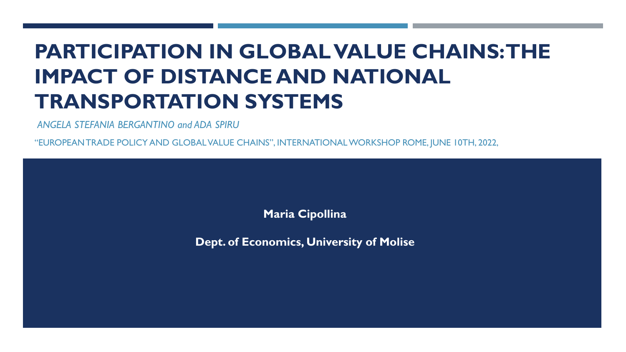# **PARTICIPATION IN GLOBAL VALUE CHAINS: THE IMPACT OF DISTANCE AND NATIONAL TRANSPORTATION SYSTEMS**

*ANGELA STEFANIA BERGANTINO and ADA SPIRU*

"EUROPEAN TRADE POLICY AND GLOBAL VALUE CHAINS", INTERNATIONAL WORKSHOP ROME, JUNE 10TH, 2022,

**Maria Cipollina**

**Dept. of Economics, University of Molise**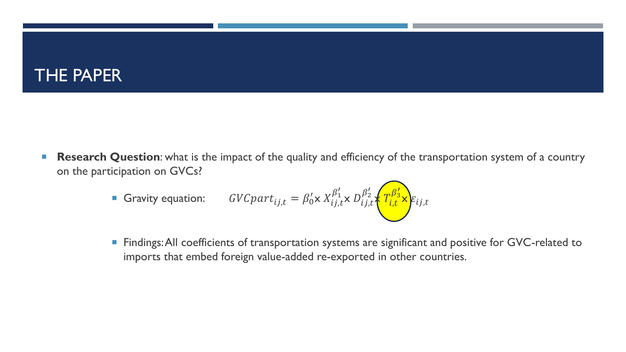### THE PAPER

 **Research Question**: what is the impact of the quality and efficiency of the transportation system of a country on the participation on GVCs?

**6** Gravity equation: 
$$
GVCpart_{ij,t} = \beta_0' \times X_{ij,t}^{\beta_1'} \times D_{ij,t}^{\beta_2'} \times T_{i,t}^{\beta_3'} \times E_{ij,t}
$$

**Findings: All coefficients of transportation systems are significant and positive for GVC-related to** imports that embed foreign value-added re-exported in other countries.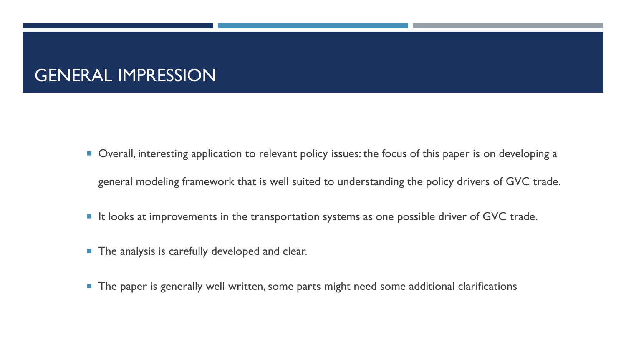## GENERAL IMPRESSION

- Overall, interesting application to relevant policy issues: the focus of this paper is on developing a general modeling framework that is well suited to understanding the policy drivers of GVC trade.
- $\blacksquare$  It looks at improvements in the transportation systems as one possible driver of GVC trade.
- **The analysis is carefully developed and clear.**
- **The paper is generally well written, some parts might need some additional clarifications**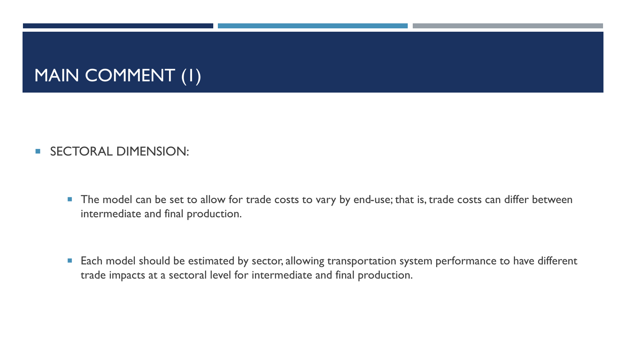# MAIN COMMENT (1)

#### **SECTORAL DIMENSION:**

The model can be set to allow for trade costs to vary by end-use; that is, trade costs can differ between intermediate and final production.

**Each model should be estimated by sector, allowing transportation system performance to have different** trade impacts at a sectoral level for intermediate and final production.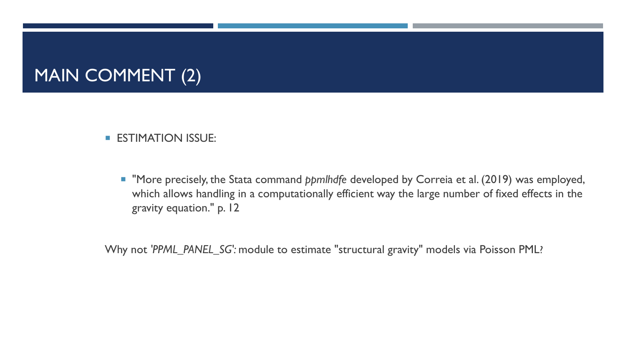## MAIN COMMENT (2)

#### **ESTIMATION ISSUE:**

 "More precisely, the Stata command *ppmlhdfe* developed by Correia et al. (2019) was employed, which allows handling in a computationally efficient way the large number of fixed effects in the gravity equation." p. 12

Why not *'PPML\_PANEL\_SG':* module to estimate "structural gravity" models via Poisson PML?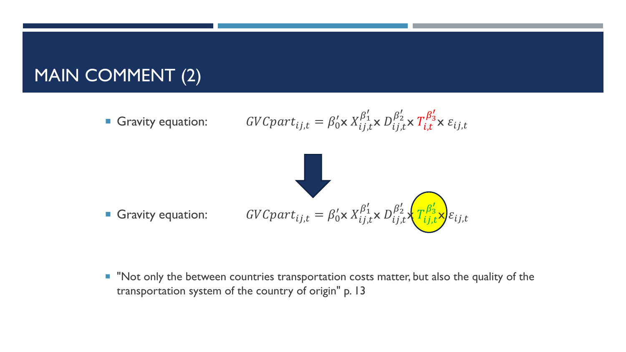### MAIN COMMENT (2)

**6** Gravity equation: 
$$
GVCpart_{ij,t} = \beta_0' \times X_{ij,t}^{\beta_1'} \times D_{ij,t}^{\beta_2'} \times T_{i,t}^{\beta_3'} \times \varepsilon_{ij,t}
$$



" "Not only the between countries transportation costs matter, but also the quality of the transportation system of the country of origin" p. 13